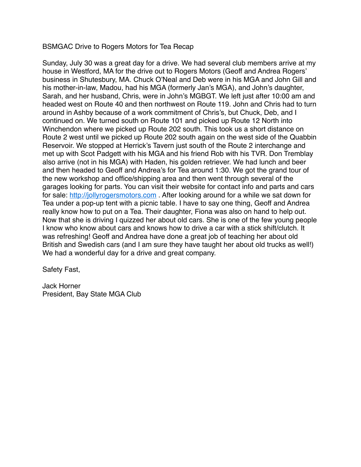## BSMGAC Drive to Rogers Motors for Tea Recap

Sunday, July 30 was a great day for a drive. We had several club members arrive at my house in Westford, MA for the drive out to Rogers Motors (Geoff and Andrea Rogers' business in Shutesbury, MA. Chuck O'Neal and Deb were in his MGA and John Gill and his mother-in-law, Madou, had his MGA (formerly Jan's MGA), and John's daughter, Sarah, and her husband, Chris, were in John's MGBGT. We left just after 10:00 am and headed west on Route 40 and then northwest on Route 119. John and Chris had to turn around in Ashby because of a work commitment of Chris's, but Chuck, Deb, and I continued on. We turned south on Route 101 and picked up Route 12 North into Winchendon where we picked up Route 202 south. This took us a short distance on Route 2 west until we picked up Route 202 south again on the west side of the Quabbin Reservoir. We stopped at Herrick's Tavern just south of the Route 2 interchange and met up with Scot Padgett with his MGA and his friend Rob with his TVR. Don Tremblay also arrive (not in his MGA) with Haden, his golden retriever. We had lunch and beer and then headed to Geoff and Andrea's for Tea around 1:30. We got the grand tour of the new workshop and office/shipping area and then went through several of the garages looking for parts. You can visit their website for contact info and parts and cars for sale: [http://jollyrogersmotors.com](http://jollyrogersmotors.com/) . After looking around for a while we sat down for Tea under a pop-up tent with a picnic table. I have to say one thing, Geoff and Andrea really know how to put on a Tea. Their daughter, Fiona was also on hand to help out. Now that she is driving I quizzed her about old cars. She is one of the few young people I know who know about cars and knows how to drive a car with a stick shift/clutch. It was refreshing! Geoff and Andrea have done a great job of teaching her about old British and Swedish cars (and I am sure they have taught her about old trucks as well!) We had a wonderful day for a drive and great company.

Safety Fast,

Jack Horner President, Bay State MGA Club